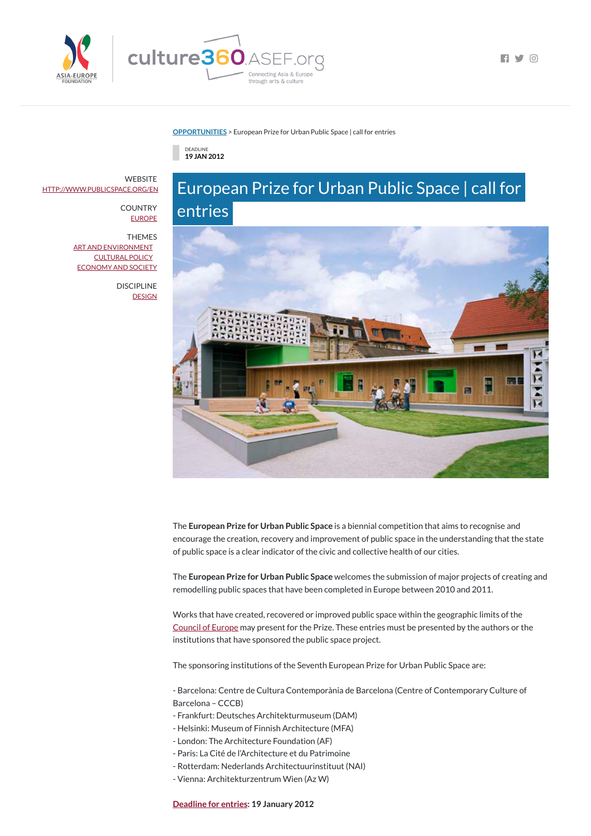

 $\blacksquare$ 

#### **[OPPORTUNITIES](https://culture360.asef.org/opportunities/)** > European Prize for Urban Public Space | call for entries

DEADLINE **19 JAN 2012**

## European Prize for Urban Public Space | call for entries



The **European Prize for Urban Public Space** is a biennial competition that aims to recognise and encourage the creation, recovery and improvement of public space in the understanding that the state of public space is a clear indicator of the civic and collective health of our cities.

The **European Prize for Urban Public Space** welcomes the submission of major projects of creating and remodelling public spaces that have been completed in Europe between 2010 and 2011.

**WEBSITE** [HTTP://WWW.PUBLICSPACE.ORG/EN](http://www.publicspace.org/en)

> **COUNTRY [EUROPE](https://culture360.asef.org/countries/europe/)**

> > Works that have created, recovered or improved public space within the geographic limits of the [Council](http://www.coe.int/) of Europe may present for the Prize. These entries must be presented by the authors or the

DISCIPLINE **[DESIGN](https://culture360.asef.org/disciplines/design/)** 

institutions that have sponsored the public space project.

The sponsoring institutions of the Seventh European Prize for Urban Public Space are:

- Barcelona: Centre de Cultura Contemporània de Barcelona (Centre of Contemporary Culture of Barcelona – CCCB)

- Frankfurt: Deutsches Architekturmuseum (DAM)
- Helsinki: Museum of Finnish Architecture (MFA)
- London: The Architecture Foundation (AF)
- Paris: La Cité de l'Architecture et du Patrimoine
- Rotterdam: Nederlands Architectuurinstituut (NAI)
- Vienna: Architekturzentrum Wien (Az W)

**[Deadline](http://www.publicspace.org/en/prize/rules/2012) for entries: 19 January 2012**

THEMES

ART AND [ENVIRONMENT](https://culture360.asef.org/themes/art-and-environment/) [CULTURAL](https://culture360.asef.org/themes/cultural-policy/) POLICY [ECONOMY](https://culture360.asef.org/themes/economy-and-society/) AND SOCIETY